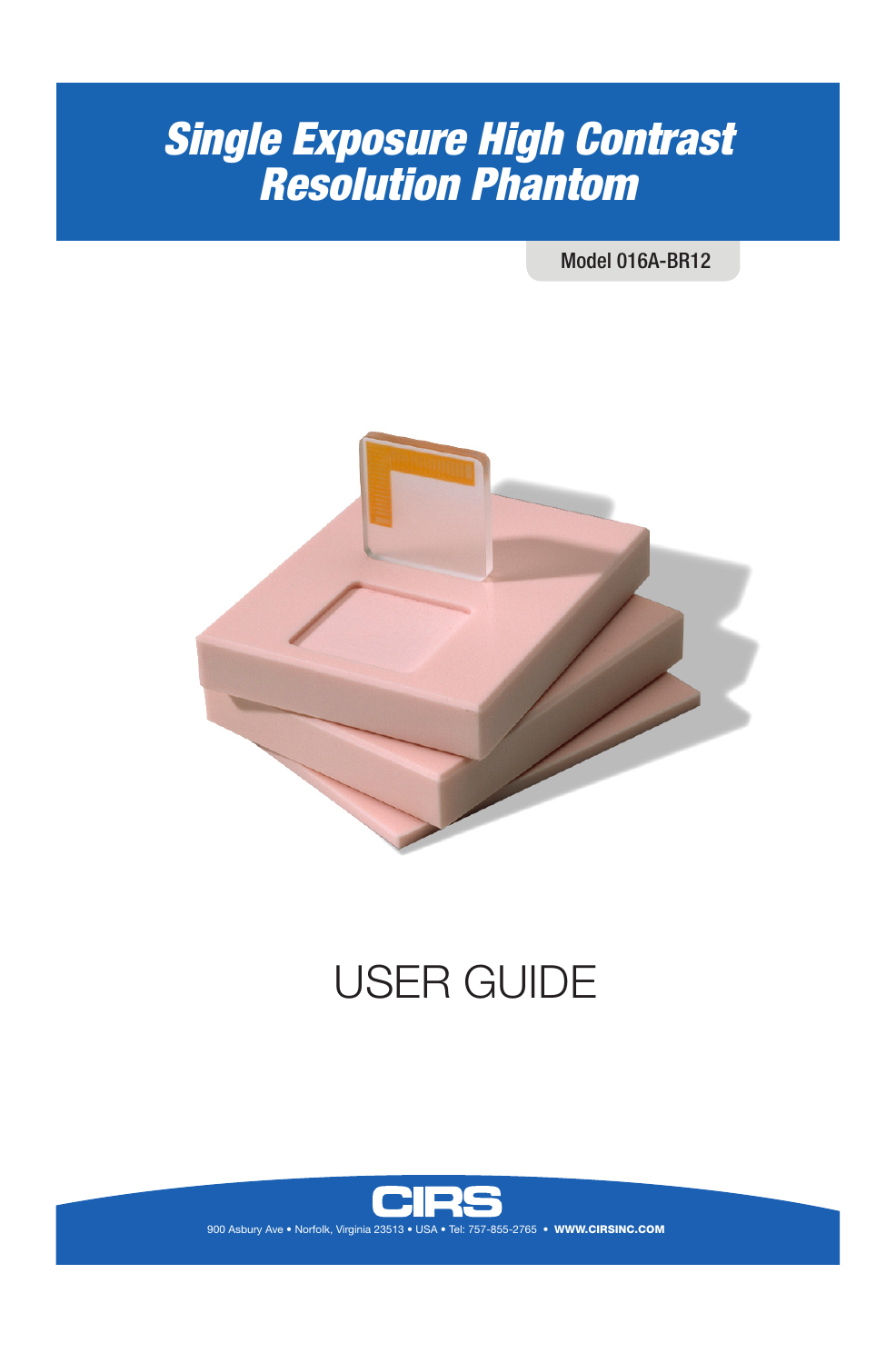## *Single Exposure High Contrast Resolution Phantom*

Model 016A-BR12



# USER GUIDE



900 Asbury Ave • Norfolk, Virginia 23513 • USA • Tel: 757-855-2765 • WWW.CIRSINC.COM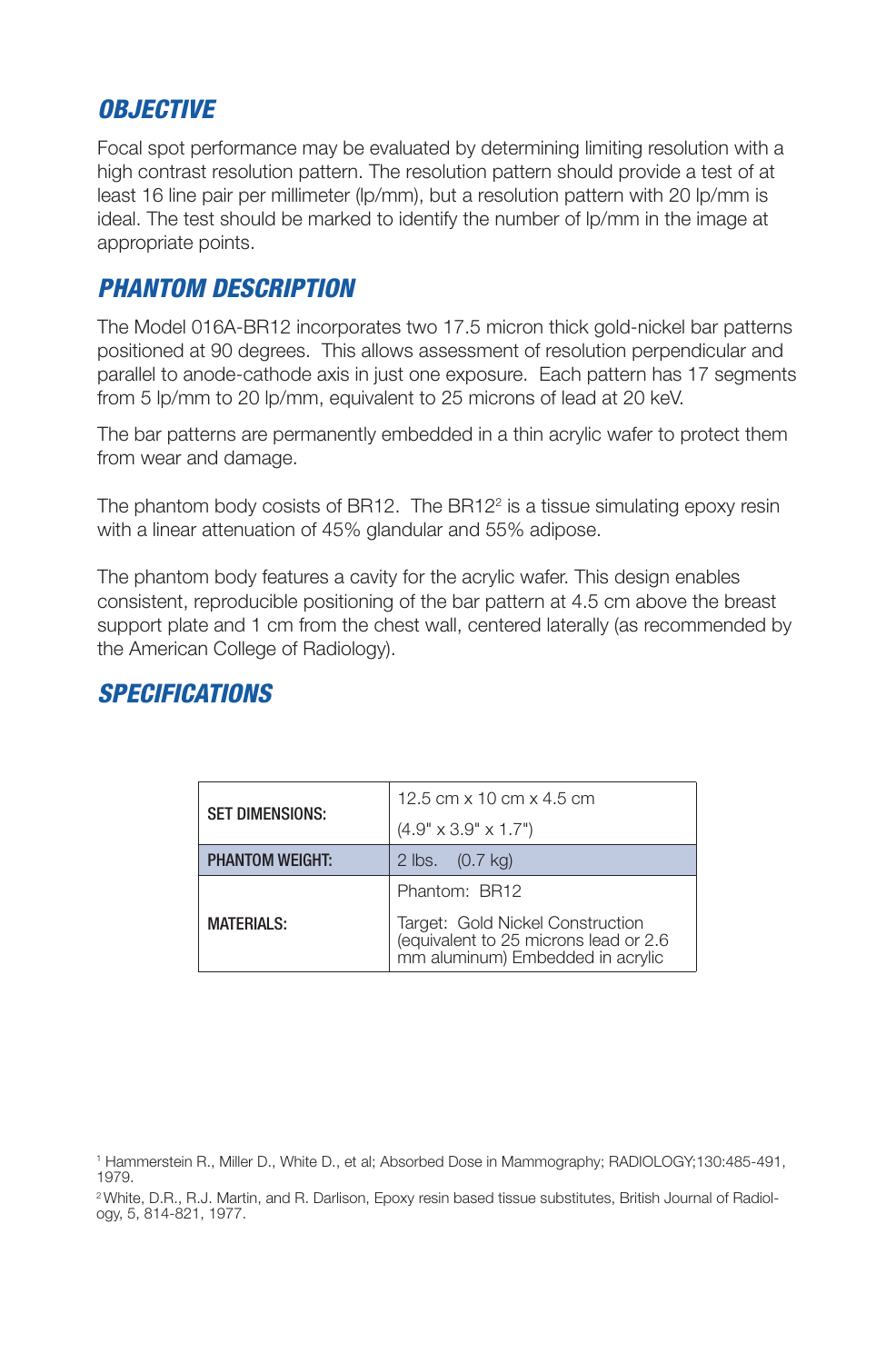#### *OBJECTIVE*

Focal spot performance may be evaluated by determining limiting resolution with a high contrast resolution pattern. The resolution pattern should provide a test of at least 16 line pair per millimeter (lp/mm), but a resolution pattern with 20 lp/mm is ideal. The test should be marked to identify the number of lp/mm in the image at appropriate points.

#### *PHANTOM DESCRIPTION*

The Model 016A-BR12 incorporates two 17.5 micron thick gold-nickel bar patterns positioned at 90 degrees. This allows assessment of resolution perpendicular and parallel to anode-cathode axis in just one exposure. Each pattern has 17 segments from 5 lp/mm to 20 lp/mm, equivalent to 25 microns of lead at 20 keV.

The bar patterns are permanently embedded in a thin acrylic wafer to protect them from wear and damage.

The phantom body cosists of BR12. The BR12 $2$  is a tissue simulating epoxy resin with a linear attenuation of 45% glandular and 55% adipose.

The phantom body features a cavity for the acrylic wafer. This design enables consistent, reproducible positioning of the bar pattern at 4.5 cm above the breast support plate and 1 cm from the chest wall, centered laterally (as recommended by the American College of Radiology).

#### *SPECIFICATIONS*

| <b>SET DIMENSIONS:</b> | 12.5 cm x 10 cm x 4.5 cm                                                                                       |
|------------------------|----------------------------------------------------------------------------------------------------------------|
|                        | $(4.9" \times 3.9" \times 1.7")$                                                                               |
| <b>PHANTOM WEIGHT:</b> | 2 lbs. (0.7 kg)                                                                                                |
| <b>MATERIALS:</b>      | Phantom: BR12                                                                                                  |
|                        | Target: Gold Nickel Construction<br>(equivalent to 25 microns lead or 2.6)<br>mm aluminum) Embedded in acrylic |

<sup>1</sup> Hammerstein R., Miller D., White D., et al; Absorbed Dose in Mammography; RADIOLOGY;130:485-491, 1979.

<sup>2</sup> White, D.R., R.J. Martin, and R. Darlison, Epoxy resin based tissue substitutes, British Journal of Radiology, 5, 814-821, 1977.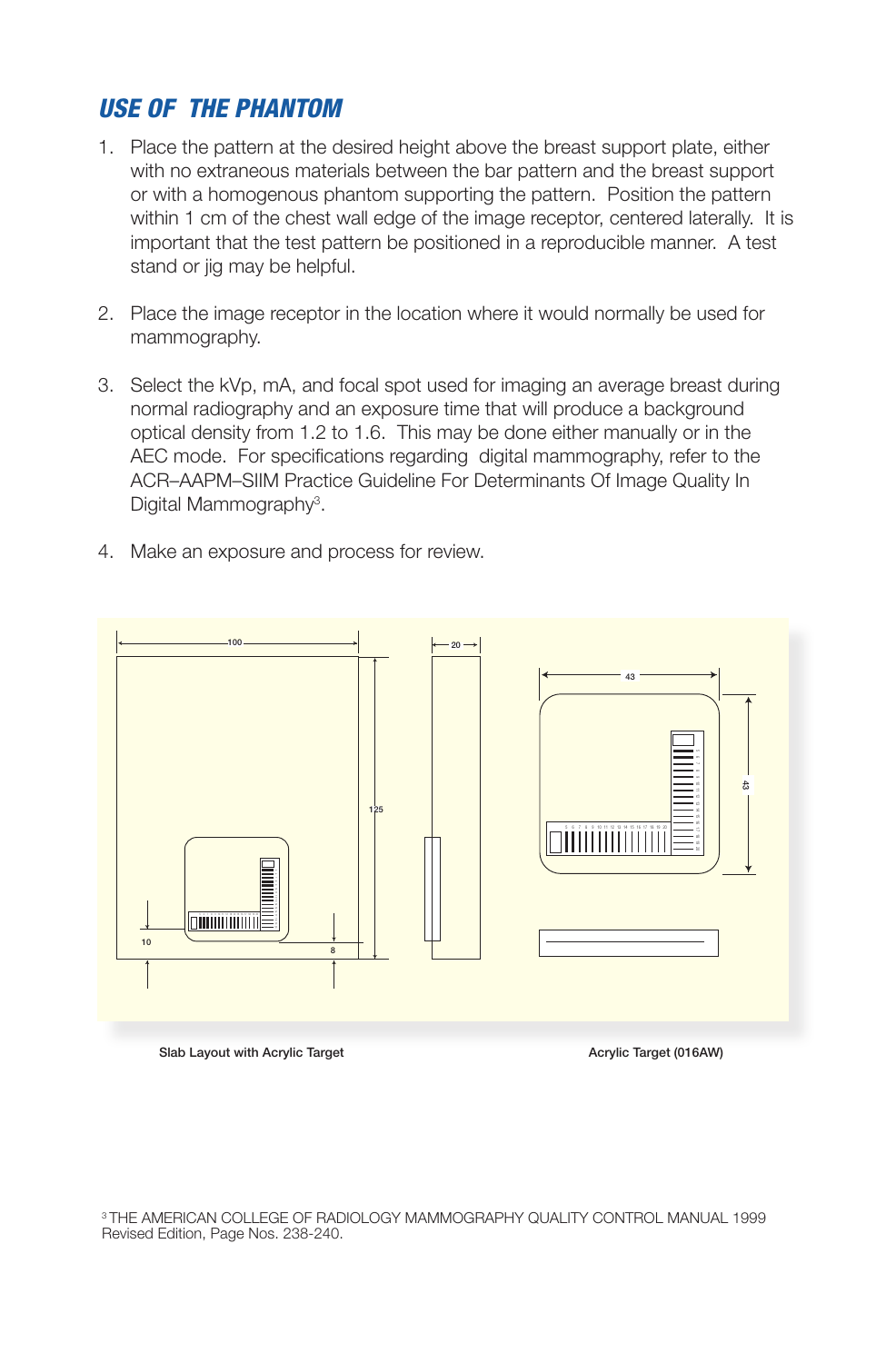#### *USE OF THE PHANTOM*

- 1. Place the pattern at the desired height above the breast support plate, either with no extraneous materials between the bar pattern and the breast support or with a homogenous phantom supporting the pattern. Position the pattern within 1 cm of the chest wall edge of the image receptor, centered laterally. It is important that the test pattern be positioned in a reproducible manner. A test stand or jig may be helpful.
- 2. Place the image receptor in the location where it would normally be used for mammography.
- 3. Select the kVp, mA, and focal spot used for imaging an average breast during normal radiography and an exposure time that will produce a background optical density from 1.2 to 1.6. This may be done either manually or in the AEC mode. For specifications regarding digital mammography, refer to the ACR–AAPM–SIIM Practice Guideline For Determinants Of Image Quality In Digital Mammography<sup>3</sup>.
- 4. Make an exposure and process for review.



Slab Layout with Acrylic Target Acrylic Target Acrylic Target (016AW)

3 THE AMERICAN COLLEGE OF RADIOLOGY MAMMOGRAPHY QUALITY CONTROL MANUAL 1999 Revised Edition, Page Nos. 238-240.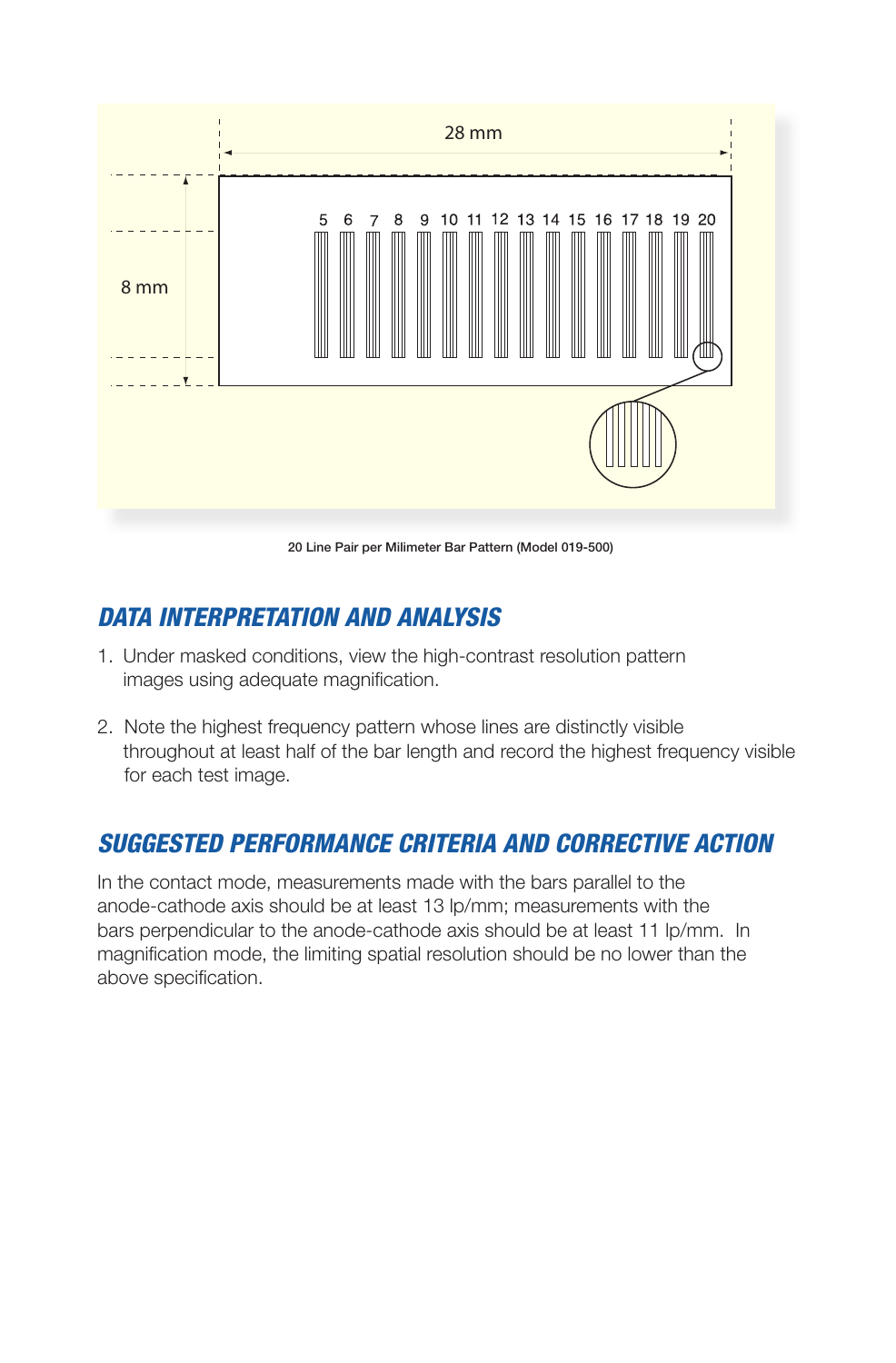

20 Line Pair per Milimeter Bar Pattern (Model 019-500)

## *DATA INTERPRETATION AND ANALYSIS*

- 1. Under masked conditions, view the high-contrast resolution pattern images using adequate magnification.
- 2. Note the highest frequency pattern whose lines are distinctly visible throughout at least half of the bar length and record the highest frequency visible for each test image.

## *SUGGESTED PERFORMANCE CRITERIA AND CORRECTIVE ACTION*

In the contact mode, measurements made with the bars parallel to the anode-cathode axis should be at least 13 lp/mm; measurements with the bars perpendicular to the anode-cathode axis should be at least 11 lp/mm. In magnification mode, the limiting spatial resolution should be no lower than the above specification.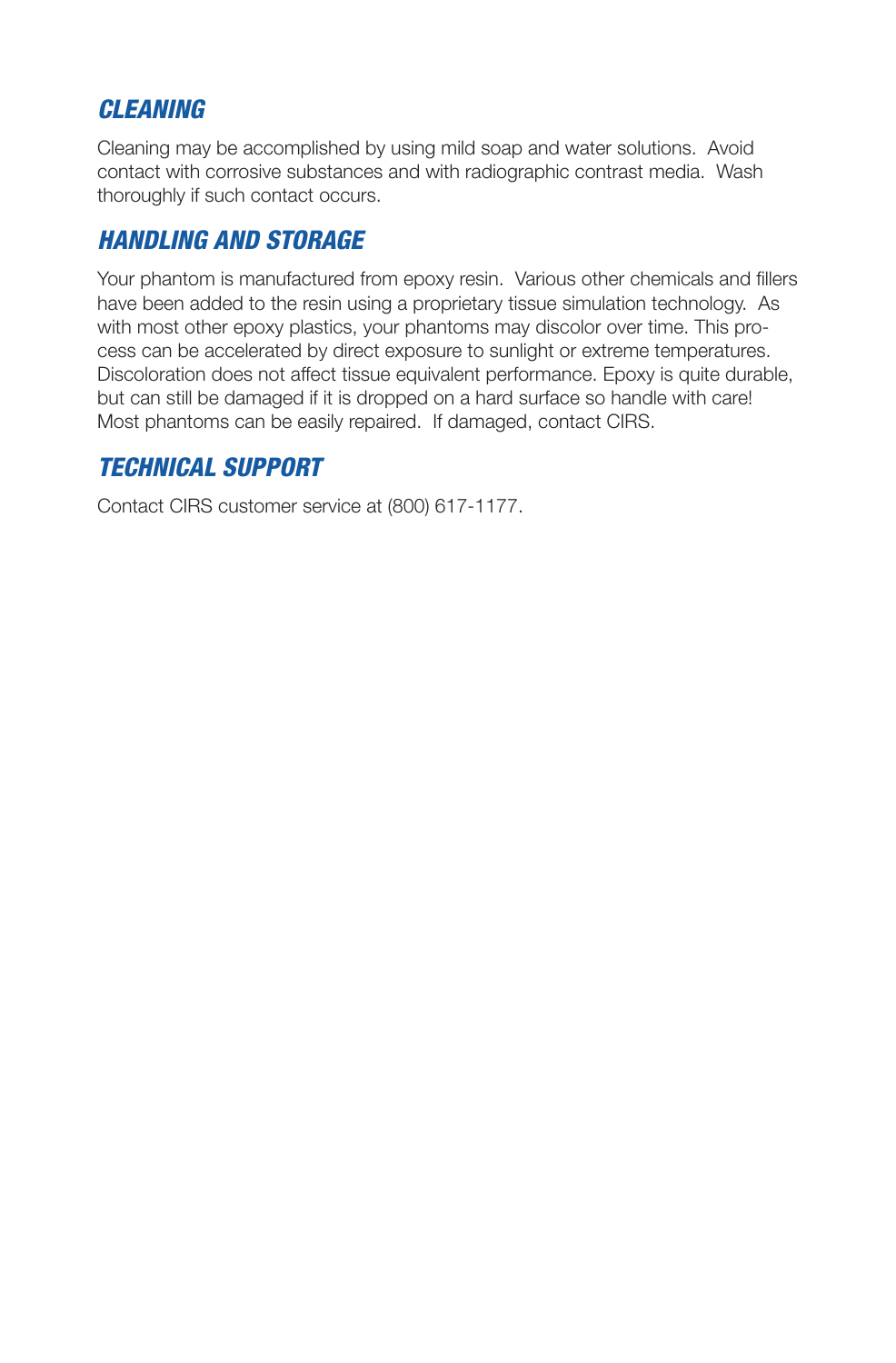#### *CLEANING*

Cleaning may be accomplished by using mild soap and water solutions. Avoid contact with corrosive substances and with radiographic contrast media. Wash thoroughly if such contact occurs.

## *HANDLING AND STORAGE*

Your phantom is manufactured from epoxy resin. Various other chemicals and fillers have been added to the resin using a proprietary tissue simulation technology. As with most other epoxy plastics, your phantoms may discolor over time. This process can be accelerated by direct exposure to sunlight or extreme temperatures. Discoloration does not affect tissue equivalent performance. Epoxy is quite durable, but can still be damaged if it is dropped on a hard surface so handle with care! Most phantoms can be easily repaired. If damaged, contact CIRS.

### *TECHNICAL SUPPORT*

Contact CIRS customer service at (800) 617-1177.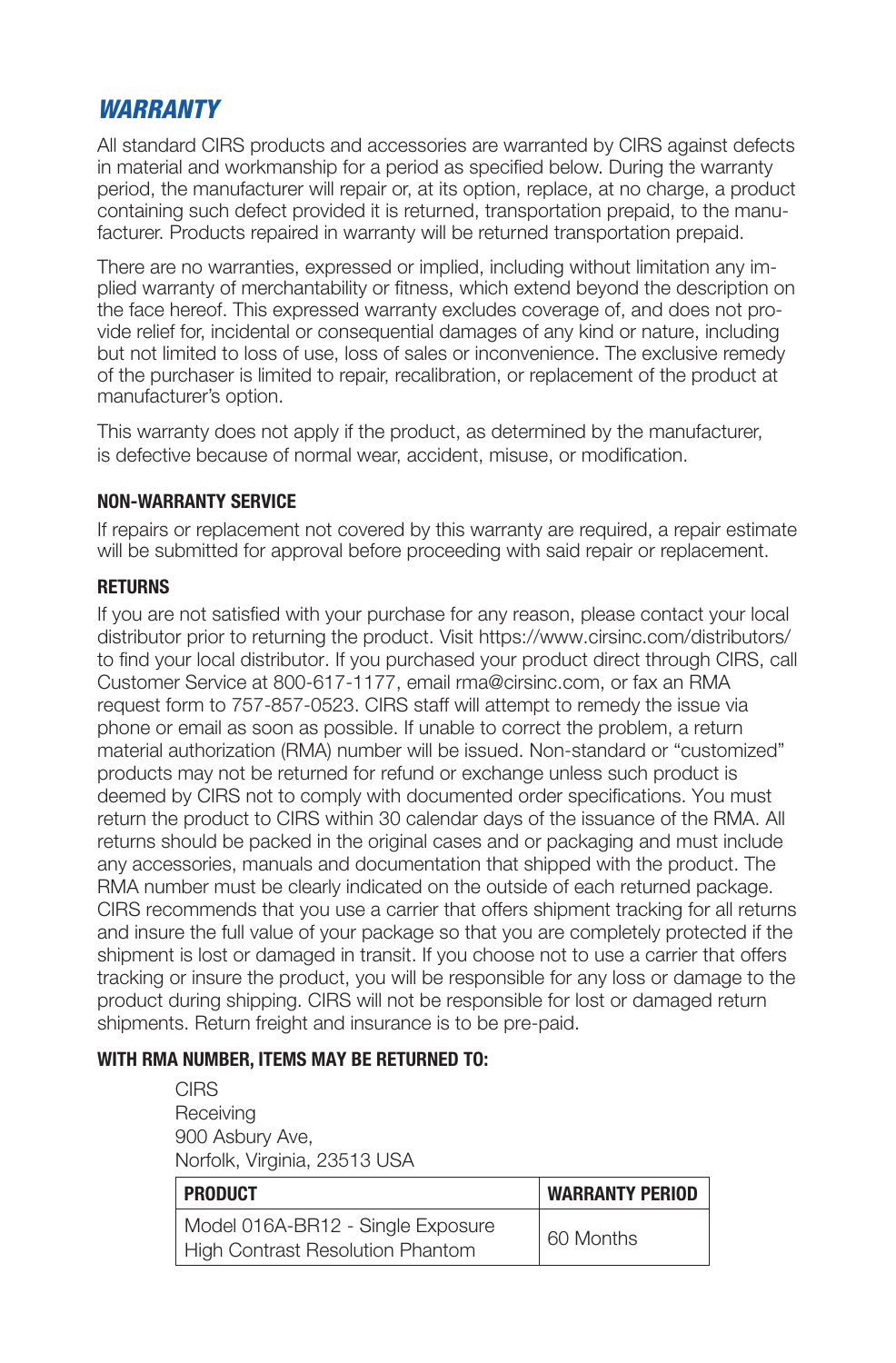#### *WARRANTY*

All standard CIRS products and accessories are warranted by CIRS against defects in material and workmanship for a period as specified below. During the warranty period, the manufacturer will repair or, at its option, replace, at no charge, a product containing such defect provided it is returned, transportation prepaid, to the manufacturer. Products repaired in warranty will be returned transportation prepaid.

There are no warranties, expressed or implied, including without limitation any implied warranty of merchantability or fitness, which extend beyond the description on the face hereof. This expressed warranty excludes coverage of, and does not provide relief for, incidental or consequential damages of any kind or nature, including but not limited to loss of use, loss of sales or inconvenience. The exclusive remedy of the purchaser is limited to repair, recalibration, or replacement of the product at manufacturer's option.

This warranty does not apply if the product, as determined by the manufacturer, is defective because of normal wear, accident, misuse, or modification.

#### **NON-WARRANTY SERVICE**

If repairs or replacement not covered by this warranty are required, a repair estimate will be submitted for approval before proceeding with said repair or replacement.

#### **RETURNS**

If you are not satisfied with your purchase for any reason, please contact your local distributor prior to returning the product. Visit https://www.cirsinc.com/distributors/ to find your local distributor. If you purchased your product direct through CIRS, call Customer Service at 800-617-1177, email rma@cirsinc.com, or fax an RMA request form to 757-857-0523. CIRS staff will attempt to remedy the issue via phone or email as soon as possible. If unable to correct the problem, a return material authorization (RMA) number will be issued. Non-standard or "customized" products may not be returned for refund or exchange unless such product is deemed by CIRS not to comply with documented order specifications. You must return the product to CIRS within 30 calendar days of the issuance of the RMA. All returns should be packed in the original cases and or packaging and must include any accessories, manuals and documentation that shipped with the product. The RMA number must be clearly indicated on the outside of each returned package. CIRS recommends that you use a carrier that offers shipment tracking for all returns and insure the full value of your package so that you are completely protected if the shipment is lost or damaged in transit. If you choose not to use a carrier that offers tracking or insure the product, you will be responsible for any loss or damage to the product during shipping. CIRS will not be responsible for lost or damaged return shipments. Return freight and insurance is to be pre-paid.

#### **WITH RMA NUMBER, ITEMS MAY BE RETURNED TO:**

**CIRS** Receiving 900 Asbury Ave, Norfolk, Virginia, 23513 USA

| <b>PRODUCT</b>                                                        | <b>WARRANTY PERIOD</b> |
|-----------------------------------------------------------------------|------------------------|
| Model 016A-BR12 - Single Exposure<br>High Contrast Resolution Phantom | 60 Months              |